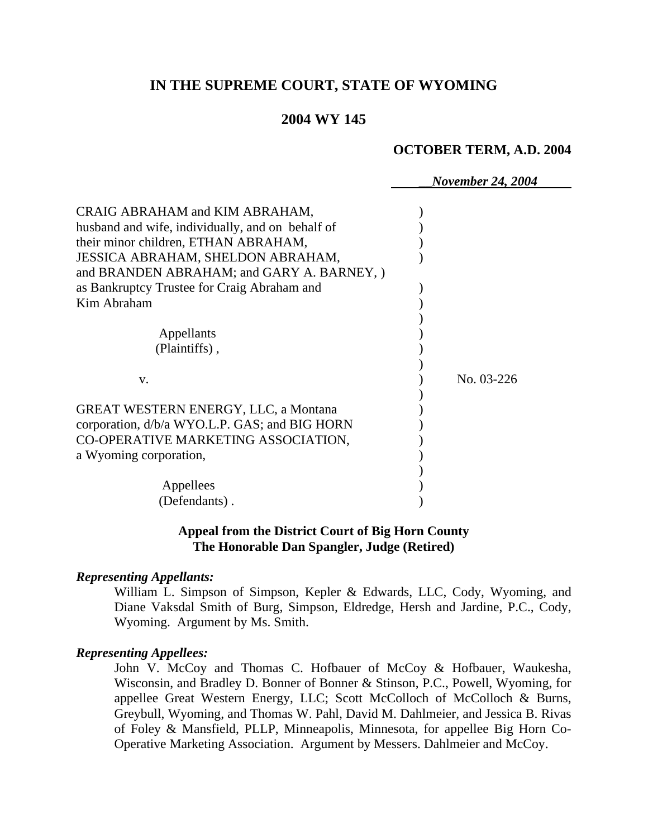# **IN THE SUPREME COURT, STATE OF WYOMING**

# **2004 WY 145**

#### **OCTOBER TERM, A.D. 2004**

\_\_*November 24, 2004*

| CRAIG ABRAHAM and KIM ABRAHAM,<br>husband and wife, individually, and on behalf of<br>their minor children, ETHAN ABRAHAM,<br>JESSICA ABRAHAM, SHELDON ABRAHAM,<br>and BRANDEN ABRAHAM; and GARY A. BARNEY, )<br>as Bankruptcy Trustee for Craig Abraham and<br>Kim Abraham |            |
|-----------------------------------------------------------------------------------------------------------------------------------------------------------------------------------------------------------------------------------------------------------------------------|------------|
| Appellants                                                                                                                                                                                                                                                                  |            |
| (Plaintiffs),                                                                                                                                                                                                                                                               |            |
| V.                                                                                                                                                                                                                                                                          | No. 03-226 |
| <b>GREAT WESTERN ENERGY, LLC, a Montana</b><br>corporation, d/b/a WYO.L.P. GAS; and BIG HORN<br>CO-OPERATIVE MARKETING ASSOCIATION,<br>a Wyoming corporation,                                                                                                               |            |
| Appellees                                                                                                                                                                                                                                                                   |            |
| (Defendants).                                                                                                                                                                                                                                                               |            |

### **Appeal from the District Court of Big Horn County The Honorable Dan Spangler, Judge (Retired)**

#### *Representing Appellants:*

William L. Simpson of Simpson, Kepler & Edwards, LLC, Cody, Wyoming, and Diane Vaksdal Smith of Burg, Simpson, Eldredge, Hersh and Jardine, P.C., Cody, Wyoming. Argument by Ms. Smith.

### *Representing Appellees:*

John V. McCoy and Thomas C. Hofbauer of McCoy & Hofbauer, Waukesha, Wisconsin, and Bradley D. Bonner of Bonner & Stinson, P.C., Powell, Wyoming, for appellee Great Western Energy, LLC; Scott McColloch of McColloch & Burns, Greybull, Wyoming, and Thomas W. Pahl, David M. Dahlmeier, and Jessica B. Rivas of Foley & Mansfield, PLLP, Minneapolis, Minnesota, for appellee Big Horn Co-Operative Marketing Association. Argument by Messers. Dahlmeier and McCoy.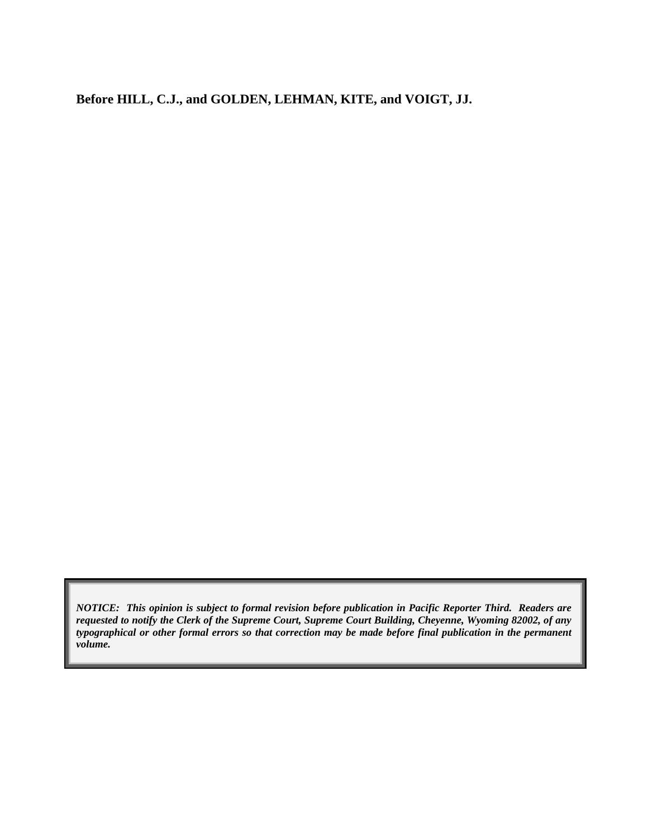**Before HILL, C.J., and GOLDEN, LEHMAN, KITE, and VOIGT, JJ.** 

*NOTICE: This opinion is subject to formal revision before publication in Pacific Reporter Third. Readers are requested to notify the Clerk of the Supreme Court, Supreme Court Building, Cheyenne, Wyoming 82002, of any typographical or other formal errors so that correction may be made before final publication in the permanent volume.*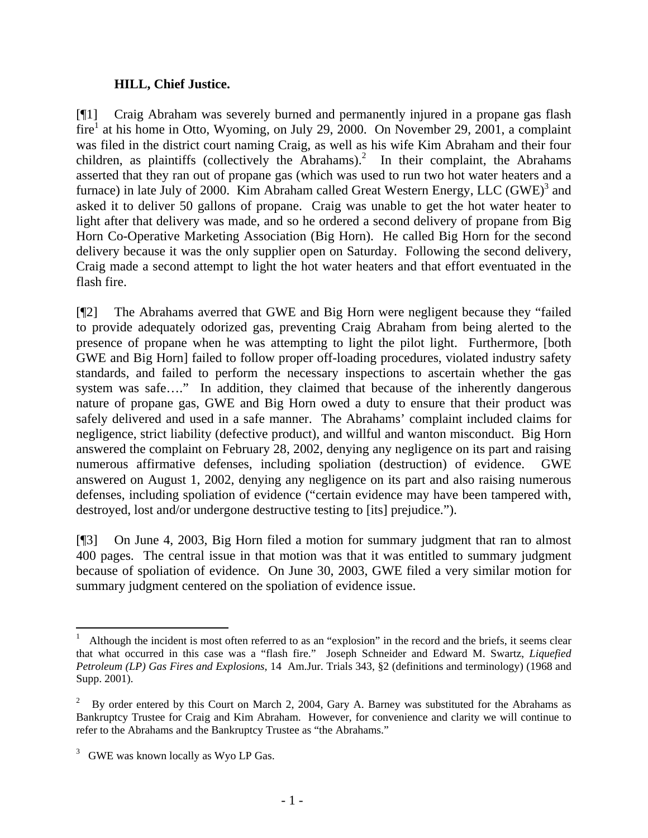# **HILL, Chief Justice.**

[¶1] Craig Abraham was severely burned and permanently injured in a propane gas flash  $fire<sup>1</sup>$  at his home in Otto, Wyoming, on July 29, 2000. On November 29, 2001, a complaint was filed in the district court naming Craig, as well as his wife Kim Abraham and their four children, as plaintiffs (collectively the Abrahams).<sup>2</sup> In their complaint, the Abrahams asserted that they ran out of propane gas (which was used to run two hot water heaters and a furnace) in late July of 2000. Kim Abraham called Great Western Energy, LLC  $(GWE)^3$  and asked it to deliver 50 gallons of propane. Craig was unable to get the hot water heater to light after that delivery was made, and so he ordered a second delivery of propane from Big Horn Co-Operative Marketing Association (Big Horn). He called Big Horn for the second delivery because it was the only supplier open on Saturday. Following the second delivery, Craig made a second attempt to light the hot water heaters and that effort eventuated in the flash fire.

[¶2] The Abrahams averred that GWE and Big Horn were negligent because they "failed to provide adequately odorized gas, preventing Craig Abraham from being alerted to the presence of propane when he was attempting to light the pilot light. Furthermore, [both GWE and Big Horn] failed to follow proper off-loading procedures, violated industry safety standards, and failed to perform the necessary inspections to ascertain whether the gas system was safe...." In addition, they claimed that because of the inherently dangerous nature of propane gas, GWE and Big Horn owed a duty to ensure that their product was safely delivered and used in a safe manner. The Abrahams' complaint included claims for negligence, strict liability (defective product), and willful and wanton misconduct. Big Horn answered the complaint on February 28, 2002, denying any negligence on its part and raising numerous affirmative defenses, including spoliation (destruction) of evidence. GWE answered on August 1, 2002, denying any negligence on its part and also raising numerous defenses, including spoliation of evidence ("certain evidence may have been tampered with, destroyed, lost and/or undergone destructive testing to [its] prejudice.").

[¶3] On June 4, 2003, Big Horn filed a motion for summary judgment that ran to almost 400 pages. The central issue in that motion was that it was entitled to summary judgment because of spoliation of evidence. On June 30, 2003, GWE filed a very similar motion for summary judgment centered on the spoliation of evidence issue.

l

<sup>1</sup> Although the incident is most often referred to as an "explosion" in the record and the briefs, it seems clear that what occurred in this case was a "flash fire." Joseph Schneider and Edward M. Swartz, *Liquefied Petroleum (LP) Gas Fires and Explosions*, 14 Am.Jur. Trials 343, §2 (definitions and terminology) (1968 and Supp. 2001).

<sup>2</sup> By order entered by this Court on March 2, 2004, Gary A. Barney was substituted for the Abrahams as Bankruptcy Trustee for Craig and Kim Abraham. However, for convenience and clarity we will continue to refer to the Abrahams and the Bankruptcy Trustee as "the Abrahams."

 $3$  GWE was known locally as Wyo LP Gas.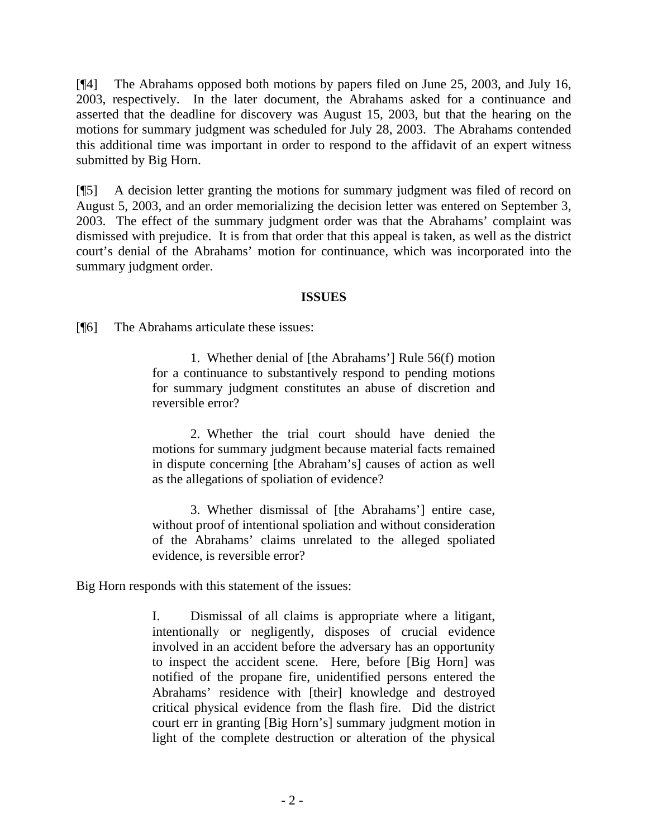[¶4] The Abrahams opposed both motions by papers filed on June 25, 2003, and July 16, 2003, respectively. In the later document, the Abrahams asked for a continuance and asserted that the deadline for discovery was August 15, 2003, but that the hearing on the motions for summary judgment was scheduled for July 28, 2003. The Abrahams contended this additional time was important in order to respond to the affidavit of an expert witness submitted by Big Horn.

[¶5] A decision letter granting the motions for summary judgment was filed of record on August 5, 2003, and an order memorializing the decision letter was entered on September 3, 2003. The effect of the summary judgment order was that the Abrahams' complaint was dismissed with prejudice. It is from that order that this appeal is taken, as well as the district court's denial of the Abrahams' motion for continuance, which was incorporated into the summary judgment order.

## **ISSUES**

[¶6] The Abrahams articulate these issues:

1. Whether denial of [the Abrahams'] Rule 56(f) motion for a continuance to substantively respond to pending motions for summary judgment constitutes an abuse of discretion and reversible error?

2. Whether the trial court should have denied the motions for summary judgment because material facts remained in dispute concerning [the Abraham's] causes of action as well as the allegations of spoliation of evidence?

3. Whether dismissal of [the Abrahams'] entire case, without proof of intentional spoliation and without consideration of the Abrahams' claims unrelated to the alleged spoliated evidence, is reversible error?

Big Horn responds with this statement of the issues:

I. Dismissal of all claims is appropriate where a litigant, intentionally or negligently, disposes of crucial evidence involved in an accident before the adversary has an opportunity to inspect the accident scene. Here, before [Big Horn] was notified of the propane fire, unidentified persons entered the Abrahams' residence with [their] knowledge and destroyed critical physical evidence from the flash fire. Did the district court err in granting [Big Horn's] summary judgment motion in light of the complete destruction or alteration of the physical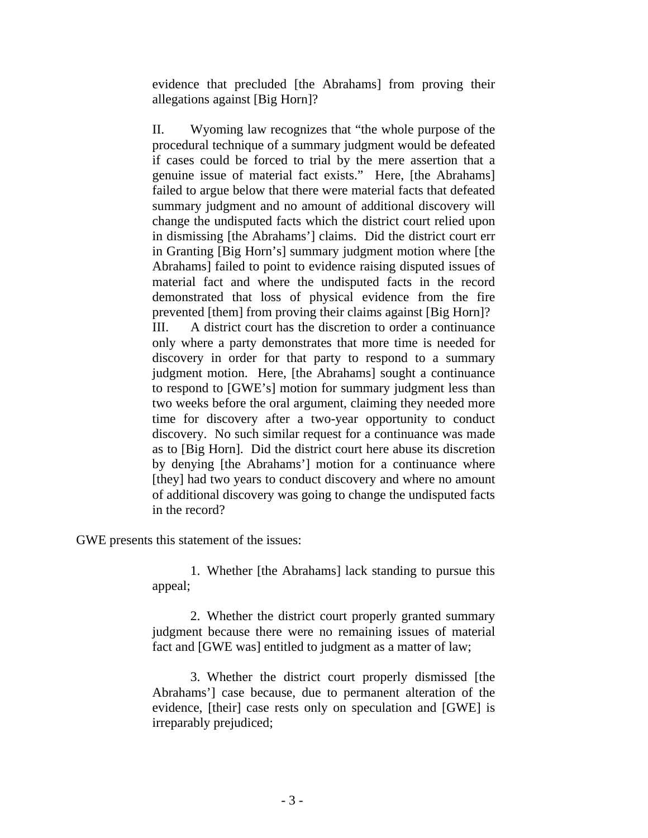evidence that precluded [the Abrahams] from proving their allegations against [Big Horn]?

II. Wyoming law recognizes that "the whole purpose of the procedural technique of a summary judgment would be defeated if cases could be forced to trial by the mere assertion that a genuine issue of material fact exists." Here, [the Abrahams] failed to argue below that there were material facts that defeated summary judgment and no amount of additional discovery will change the undisputed facts which the district court relied upon in dismissing [the Abrahams'] claims. Did the district court err in Granting [Big Horn's] summary judgment motion where [the Abrahams] failed to point to evidence raising disputed issues of material fact and where the undisputed facts in the record demonstrated that loss of physical evidence from the fire prevented [them] from proving their claims against [Big Horn]? III. A district court has the discretion to order a continuance only where a party demonstrates that more time is needed for discovery in order for that party to respond to a summary judgment motion. Here, [the Abrahams] sought a continuance to respond to [GWE's] motion for summary judgment less than two weeks before the oral argument, claiming they needed more time for discovery after a two-year opportunity to conduct discovery. No such similar request for a continuance was made as to [Big Horn]. Did the district court here abuse its discretion by denying [the Abrahams'] motion for a continuance where [they] had two years to conduct discovery and where no amount of additional discovery was going to change the undisputed facts in the record?

GWE presents this statement of the issues:

1. Whether [the Abrahams] lack standing to pursue this appeal;

2. Whether the district court properly granted summary judgment because there were no remaining issues of material fact and [GWE was] entitled to judgment as a matter of law;

3. Whether the district court properly dismissed [the Abrahams'] case because, due to permanent alteration of the evidence, [their] case rests only on speculation and [GWE] is irreparably prejudiced;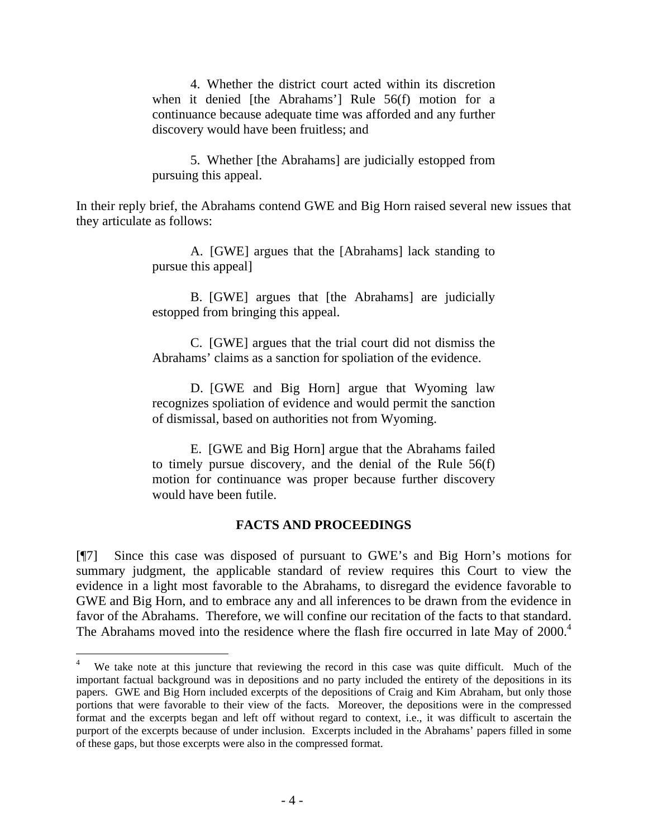4. Whether the district court acted within its discretion when it denied [the Abrahams'] Rule 56(f) motion for a continuance because adequate time was afforded and any further discovery would have been fruitless; and

5. Whether [the Abrahams] are judicially estopped from pursuing this appeal.

In their reply brief, the Abrahams contend GWE and Big Horn raised several new issues that they articulate as follows:

> A. [GWE] argues that the [Abrahams] lack standing to pursue this appeal]

> B. [GWE] argues that [the Abrahams] are judicially estopped from bringing this appeal.

> C. [GWE] argues that the trial court did not dismiss the Abrahams' claims as a sanction for spoliation of the evidence.

> D. [GWE and Big Horn] argue that Wyoming law recognizes spoliation of evidence and would permit the sanction of dismissal, based on authorities not from Wyoming.

> E. [GWE and Big Horn] argue that the Abrahams failed to timely pursue discovery, and the denial of the Rule 56(f) motion for continuance was proper because further discovery would have been futile.

### **FACTS AND PROCEEDINGS**

[¶7] Since this case was disposed of pursuant to GWE's and Big Horn's motions for summary judgment, the applicable standard of review requires this Court to view the evidence in a light most favorable to the Abrahams, to disregard the evidence favorable to GWE and Big Horn, and to embrace any and all inferences to be drawn from the evidence in favor of the Abrahams. Therefore, we will confine our recitation of the facts to that standard. The Abrahams moved into the residence where the flash fire occurred in late May of 2000.<sup>4</sup>

<sup>4</sup> We take note at this juncture that reviewing the record in this case was quite difficult. Much of the important factual background was in depositions and no party included the entirety of the depositions in its papers. GWE and Big Horn included excerpts of the depositions of Craig and Kim Abraham, but only those portions that were favorable to their view of the facts. Moreover, the depositions were in the compressed format and the excerpts began and left off without regard to context, i.e., it was difficult to ascertain the purport of the excerpts because of under inclusion. Excerpts included in the Abrahams' papers filled in some of these gaps, but those excerpts were also in the compressed format.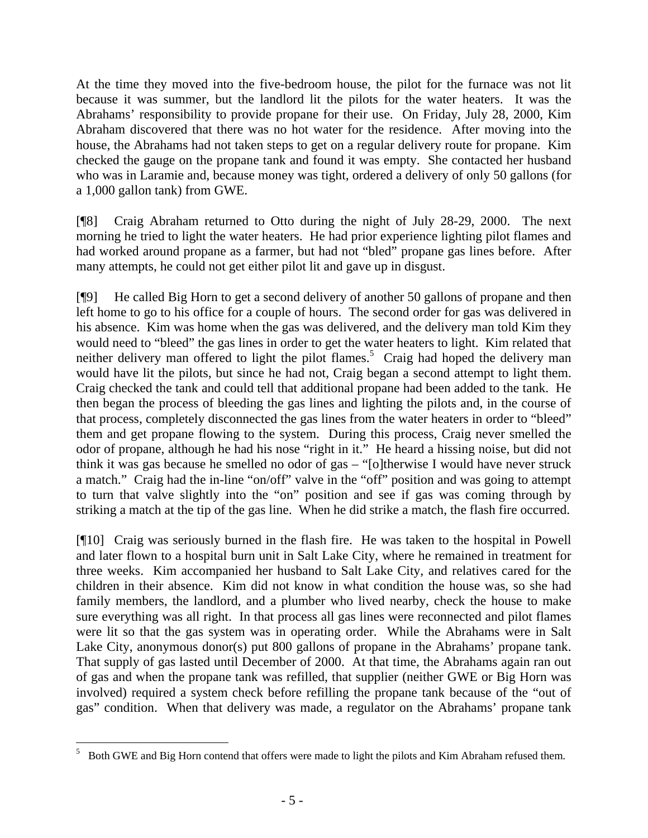At the time they moved into the five-bedroom house, the pilot for the furnace was not lit because it was summer, but the landlord lit the pilots for the water heaters. It was the Abrahams' responsibility to provide propane for their use. On Friday, July 28, 2000, Kim Abraham discovered that there was no hot water for the residence. After moving into the house, the Abrahams had not taken steps to get on a regular delivery route for propane. Kim checked the gauge on the propane tank and found it was empty. She contacted her husband who was in Laramie and, because money was tight, ordered a delivery of only 50 gallons (for a 1,000 gallon tank) from GWE.

[¶8] Craig Abraham returned to Otto during the night of July 28-29, 2000. The next morning he tried to light the water heaters. He had prior experience lighting pilot flames and had worked around propane as a farmer, but had not "bled" propane gas lines before. After many attempts, he could not get either pilot lit and gave up in disgust.

[¶9] He called Big Horn to get a second delivery of another 50 gallons of propane and then left home to go to his office for a couple of hours. The second order for gas was delivered in his absence. Kim was home when the gas was delivered, and the delivery man told Kim they would need to "bleed" the gas lines in order to get the water heaters to light. Kim related that neither delivery man offered to light the pilot flames.<sup>5</sup> Craig had hoped the delivery man would have lit the pilots, but since he had not, Craig began a second attempt to light them. Craig checked the tank and could tell that additional propane had been added to the tank. He then began the process of bleeding the gas lines and lighting the pilots and, in the course of that process, completely disconnected the gas lines from the water heaters in order to "bleed" them and get propane flowing to the system. During this process, Craig never smelled the odor of propane, although he had his nose "right in it." He heard a hissing noise, but did not think it was gas because he smelled no odor of gas – "[o]therwise I would have never struck a match." Craig had the in-line "on/off" valve in the "off" position and was going to attempt to turn that valve slightly into the "on" position and see if gas was coming through by striking a match at the tip of the gas line. When he did strike a match, the flash fire occurred.

[¶10] Craig was seriously burned in the flash fire. He was taken to the hospital in Powell and later flown to a hospital burn unit in Salt Lake City, where he remained in treatment for three weeks. Kim accompanied her husband to Salt Lake City, and relatives cared for the children in their absence. Kim did not know in what condition the house was, so she had family members, the landlord, and a plumber who lived nearby, check the house to make sure everything was all right. In that process all gas lines were reconnected and pilot flames were lit so that the gas system was in operating order. While the Abrahams were in Salt Lake City, anonymous donor(s) put 800 gallons of propane in the Abrahams' propane tank. That supply of gas lasted until December of 2000. At that time, the Abrahams again ran out of gas and when the propane tank was refilled, that supplier (neither GWE or Big Horn was involved) required a system check before refilling the propane tank because of the "out of gas" condition. When that delivery was made, a regulator on the Abrahams' propane tank

 5 Both GWE and Big Horn contend that offers were made to light the pilots and Kim Abraham refused them.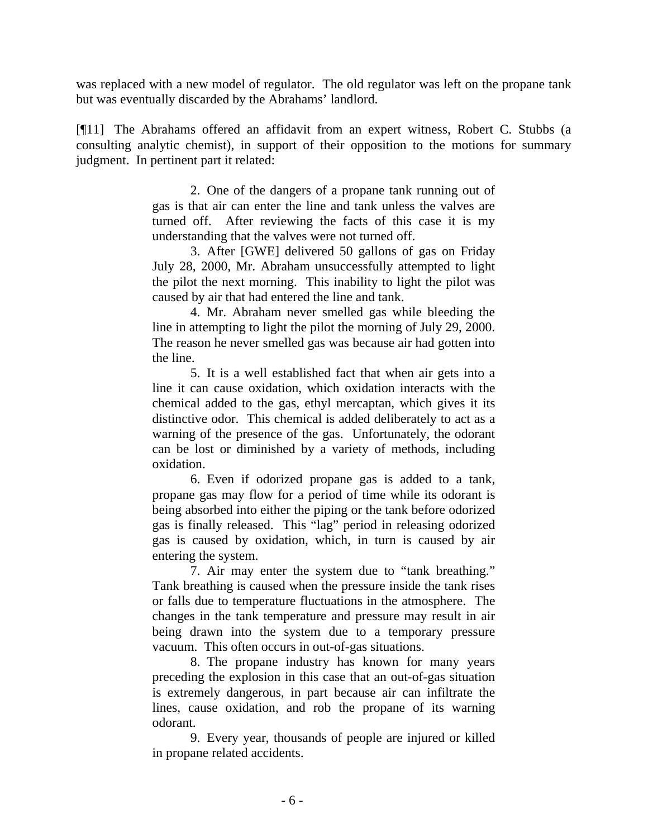was replaced with a new model of regulator. The old regulator was left on the propane tank but was eventually discarded by the Abrahams' landlord.

[¶11] The Abrahams offered an affidavit from an expert witness, Robert C. Stubbs (a consulting analytic chemist), in support of their opposition to the motions for summary judgment. In pertinent part it related:

> 2. One of the dangers of a propane tank running out of gas is that air can enter the line and tank unless the valves are turned off. After reviewing the facts of this case it is my understanding that the valves were not turned off.

> 3. After [GWE] delivered 50 gallons of gas on Friday July 28, 2000, Mr. Abraham unsuccessfully attempted to light the pilot the next morning. This inability to light the pilot was caused by air that had entered the line and tank.

> 4. Mr. Abraham never smelled gas while bleeding the line in attempting to light the pilot the morning of July 29, 2000. The reason he never smelled gas was because air had gotten into the line.

> 5. It is a well established fact that when air gets into a line it can cause oxidation, which oxidation interacts with the chemical added to the gas, ethyl mercaptan, which gives it its distinctive odor. This chemical is added deliberately to act as a warning of the presence of the gas. Unfortunately, the odorant can be lost or diminished by a variety of methods, including oxidation.

> 6. Even if odorized propane gas is added to a tank, propane gas may flow for a period of time while its odorant is being absorbed into either the piping or the tank before odorized gas is finally released. This "lag" period in releasing odorized gas is caused by oxidation, which, in turn is caused by air entering the system.

> 7. Air may enter the system due to "tank breathing." Tank breathing is caused when the pressure inside the tank rises or falls due to temperature fluctuations in the atmosphere. The changes in the tank temperature and pressure may result in air being drawn into the system due to a temporary pressure vacuum. This often occurs in out-of-gas situations.

> 8. The propane industry has known for many years preceding the explosion in this case that an out-of-gas situation is extremely dangerous, in part because air can infiltrate the lines, cause oxidation, and rob the propane of its warning odorant.

> 9. Every year, thousands of people are injured or killed in propane related accidents.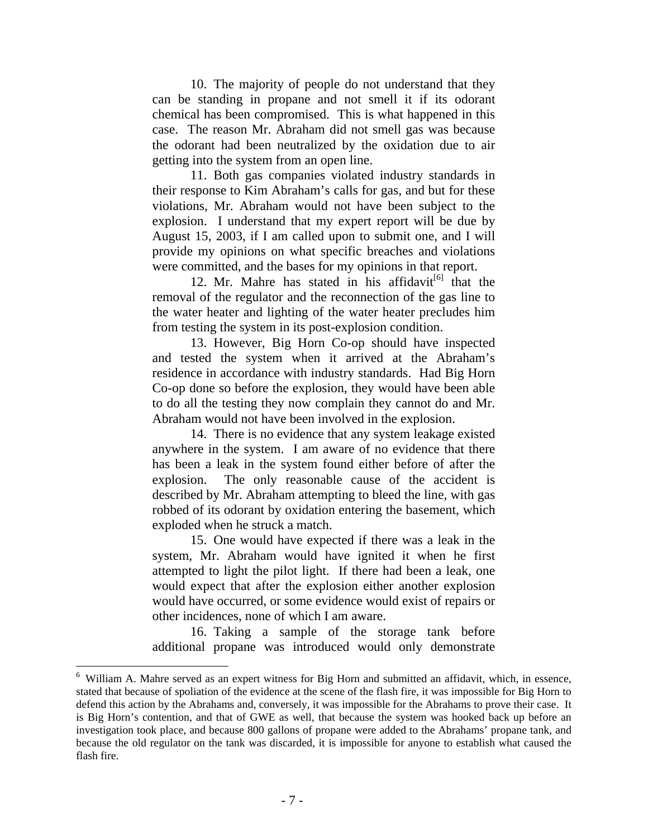10. The majority of people do not understand that they can be standing in propane and not smell it if its odorant chemical has been compromised. This is what happened in this case. The reason Mr. Abraham did not smell gas was because the odorant had been neutralized by the oxidation due to air getting into the system from an open line.

11. Both gas companies violated industry standards in their response to Kim Abraham's calls for gas, and but for these violations, Mr. Abraham would not have been subject to the explosion. I understand that my expert report will be due by August 15, 2003, if I am called upon to submit one, and I will provide my opinions on what specific breaches and violations were committed, and the bases for my opinions in that report.

12. Mr. Mahre has stated in his affidavit $[6]$  that the removal of the regulator and the reconnection of the gas line to the water heater and lighting of the water heater precludes him from testing the system in its post-explosion condition.

13. However, Big Horn Co-op should have inspected and tested the system when it arrived at the Abraham's residence in accordance with industry standards. Had Big Horn Co-op done so before the explosion, they would have been able to do all the testing they now complain they cannot do and Mr. Abraham would not have been involved in the explosion.

14. There is no evidence that any system leakage existed anywhere in the system. I am aware of no evidence that there has been a leak in the system found either before of after the explosion. The only reasonable cause of the accident is described by Mr. Abraham attempting to bleed the line, with gas robbed of its odorant by oxidation entering the basement, which exploded when he struck a match.

15. One would have expected if there was a leak in the system, Mr. Abraham would have ignited it when he first attempted to light the pilot light. If there had been a leak, one would expect that after the explosion either another explosion would have occurred, or some evidence would exist of repairs or other incidences, none of which I am aware.

16. Taking a sample of the storage tank before additional propane was introduced would only demonstrate

<sup>6</sup> William A. Mahre served as an expert witness for Big Horn and submitted an affidavit, which, in essence, stated that because of spoliation of the evidence at the scene of the flash fire, it was impossible for Big Horn to defend this action by the Abrahams and, conversely, it was impossible for the Abrahams to prove their case. It is Big Horn's contention, and that of GWE as well, that because the system was hooked back up before an investigation took place, and because 800 gallons of propane were added to the Abrahams' propane tank, and because the old regulator on the tank was discarded, it is impossible for anyone to establish what caused the flash fire.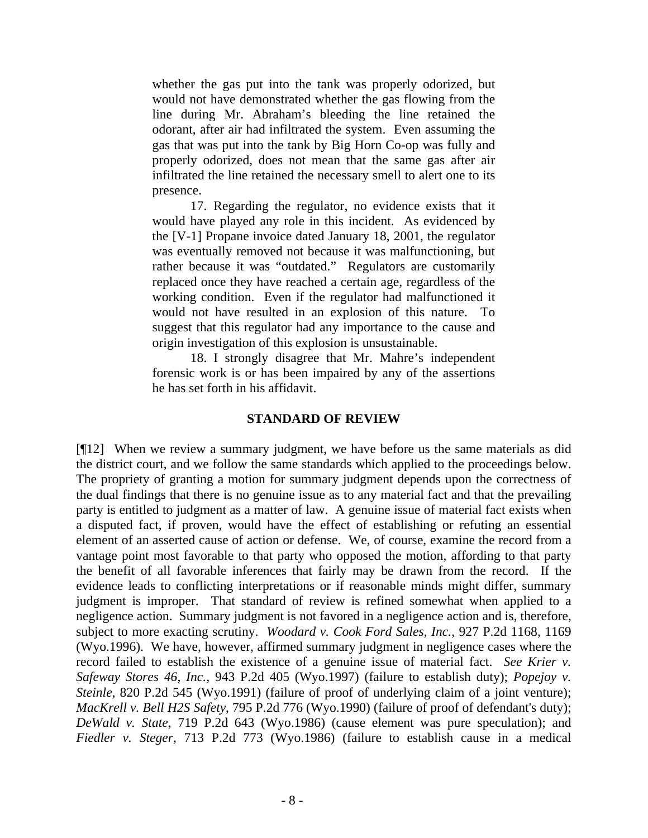whether the gas put into the tank was properly odorized, but would not have demonstrated whether the gas flowing from the line during Mr. Abraham's bleeding the line retained the odorant, after air had infiltrated the system. Even assuming the gas that was put into the tank by Big Horn Co-op was fully and properly odorized, does not mean that the same gas after air infiltrated the line retained the necessary smell to alert one to its presence.

17. Regarding the regulator, no evidence exists that it would have played any role in this incident. As evidenced by the [V-1] Propane invoice dated January 18, 2001, the regulator was eventually removed not because it was malfunctioning, but rather because it was "outdated." Regulators are customarily replaced once they have reached a certain age, regardless of the working condition. Even if the regulator had malfunctioned it would not have resulted in an explosion of this nature. To suggest that this regulator had any importance to the cause and origin investigation of this explosion is unsustainable.

18. I strongly disagree that Mr. Mahre's independent forensic work is or has been impaired by any of the assertions he has set forth in his affidavit.

# **STANDARD OF REVIEW**

[¶12] When we review a summary judgment, we have before us the same materials as did the district court, and we follow the same standards which applied to the proceedings below. The propriety of granting a motion for summary judgment depends upon the correctness of the dual findings that there is no genuine issue as to any material fact and that the prevailing party is entitled to judgment as a matter of law. A genuine issue of material fact exists when a disputed fact, if proven, would have the effect of establishing or refuting an essential element of an asserted cause of action or defense. We, of course, examine the record from a vantage point most favorable to that party who opposed the motion, affording to that party the benefit of all favorable inferences that fairly may be drawn from the record. If the evidence leads to conflicting interpretations or if reasonable minds might differ, summary judgment is improper. That standard of review is refined somewhat when applied to a negligence action. Summary judgment is not favored in a negligence action and is, therefore, subject to more exacting scrutiny. *Woodard v. Cook Ford Sales, Inc.*, 927 P.2d 1168, 1169 (Wyo.1996). We have, however, affirmed summary judgment in negligence cases where the record failed to establish the existence of a genuine issue of material fact. *See Krier v. Safeway Stores 46, Inc.*, 943 P.2d 405 (Wyo.1997) (failure to establish duty); *Popejoy v. Steinle*, 820 P.2d 545 (Wyo.1991) (failure of proof of underlying claim of a joint venture); *MacKrell v. Bell H2S Safety*, 795 P.2d 776 (Wyo.1990) (failure of proof of defendant's duty); *DeWald v. State*, 719 P.2d 643 (Wyo.1986) (cause element was pure speculation); and *Fiedler v. Steger*, 713 P.2d 773 (Wyo.1986) (failure to establish cause in a medical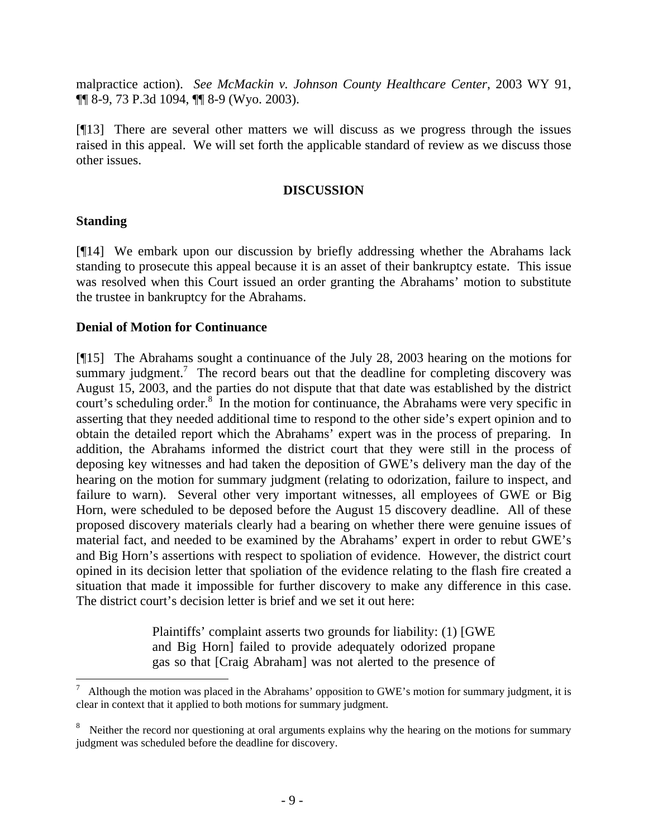malpractice action). *See McMackin v. Johnson County Healthcare Center*, 2003 WY 91, ¶¶ 8-9, 73 P.3d 1094, ¶¶ 8-9 (Wyo. 2003).

[¶13] There are several other matters we will discuss as we progress through the issues raised in this appeal. We will set forth the applicable standard of review as we discuss those other issues.

## **DISCUSSION**

# **Standing**

[¶14] We embark upon our discussion by briefly addressing whether the Abrahams lack standing to prosecute this appeal because it is an asset of their bankruptcy estate. This issue was resolved when this Court issued an order granting the Abrahams' motion to substitute the trustee in bankruptcy for the Abrahams.

# **Denial of Motion for Continuance**

[¶15] The Abrahams sought a continuance of the July 28, 2003 hearing on the motions for summary judgment.<sup>7</sup> The record bears out that the deadline for completing discovery was August 15, 2003, and the parties do not dispute that that date was established by the district court's scheduling order. $8\text{ In the motion for continuous, the Abrahams were very specific in }$ asserting that they needed additional time to respond to the other side's expert opinion and to obtain the detailed report which the Abrahams' expert was in the process of preparing. In addition, the Abrahams informed the district court that they were still in the process of deposing key witnesses and had taken the deposition of GWE's delivery man the day of the hearing on the motion for summary judgment (relating to odorization, failure to inspect, and failure to warn). Several other very important witnesses, all employees of GWE or Big Horn, were scheduled to be deposed before the August 15 discovery deadline. All of these proposed discovery materials clearly had a bearing on whether there were genuine issues of material fact, and needed to be examined by the Abrahams' expert in order to rebut GWE's and Big Horn's assertions with respect to spoliation of evidence. However, the district court opined in its decision letter that spoliation of the evidence relating to the flash fire created a situation that made it impossible for further discovery to make any difference in this case. The district court's decision letter is brief and we set it out here:

> Plaintiffs' complaint asserts two grounds for liability: (1) [GWE and Big Horn] failed to provide adequately odorized propane gas so that [Craig Abraham] was not alerted to the presence of

<sup>7</sup> Although the motion was placed in the Abrahams' opposition to GWE's motion for summary judgment, it is clear in context that it applied to both motions for summary judgment.

<sup>&</sup>lt;sup>8</sup> Neither the record nor questioning at oral arguments explains why the hearing on the motions for summary judgment was scheduled before the deadline for discovery.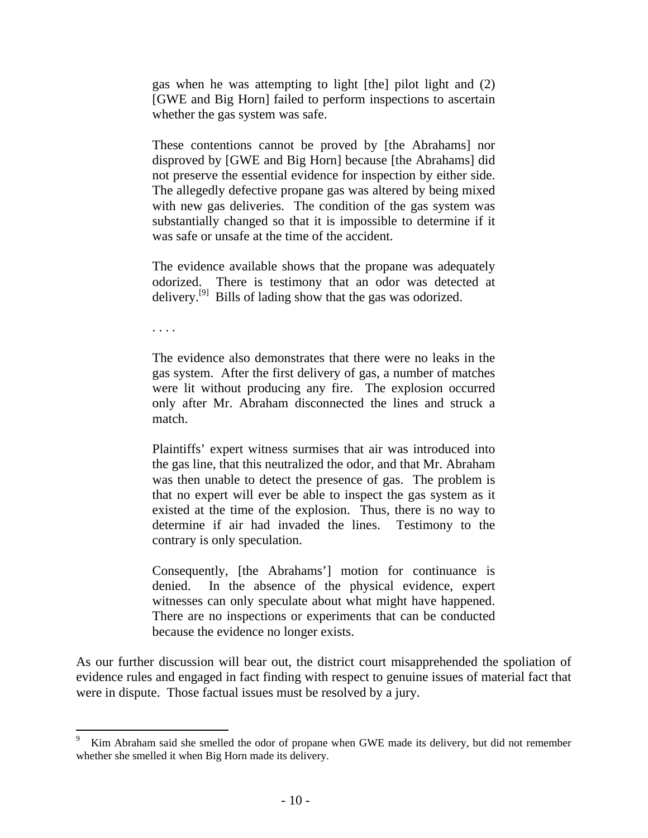gas when he was attempting to light [the] pilot light and (2) [GWE and Big Horn] failed to perform inspections to ascertain whether the gas system was safe.

These contentions cannot be proved by [the Abrahams] nor disproved by [GWE and Big Horn] because [the Abrahams] did not preserve the essential evidence for inspection by either side. The allegedly defective propane gas was altered by being mixed with new gas deliveries. The condition of the gas system was substantially changed so that it is impossible to determine if it was safe or unsafe at the time of the accident.

The evidence available shows that the propane was adequately odorized. There is testimony that an odor was detected at delivery.<sup>[9]</sup> Bills of lading show that the gas was odorized.

. . . .

The evidence also demonstrates that there were no leaks in the gas system. After the first delivery of gas, a number of matches were lit without producing any fire. The explosion occurred only after Mr. Abraham disconnected the lines and struck a match.

Plaintiffs' expert witness surmises that air was introduced into the gas line, that this neutralized the odor, and that Mr. Abraham was then unable to detect the presence of gas. The problem is that no expert will ever be able to inspect the gas system as it existed at the time of the explosion. Thus, there is no way to determine if air had invaded the lines. Testimony to the contrary is only speculation.

Consequently, [the Abrahams'] motion for continuance is denied. In the absence of the physical evidence, expert witnesses can only speculate about what might have happened. There are no inspections or experiments that can be conducted because the evidence no longer exists.

As our further discussion will bear out, the district court misapprehended the spoliation of evidence rules and engaged in fact finding with respect to genuine issues of material fact that were in dispute. Those factual issues must be resolved by a jury.

<sup>-&</sup>lt;br>9 Kim Abraham said she smelled the odor of propane when GWE made its delivery, but did not remember whether she smelled it when Big Horn made its delivery.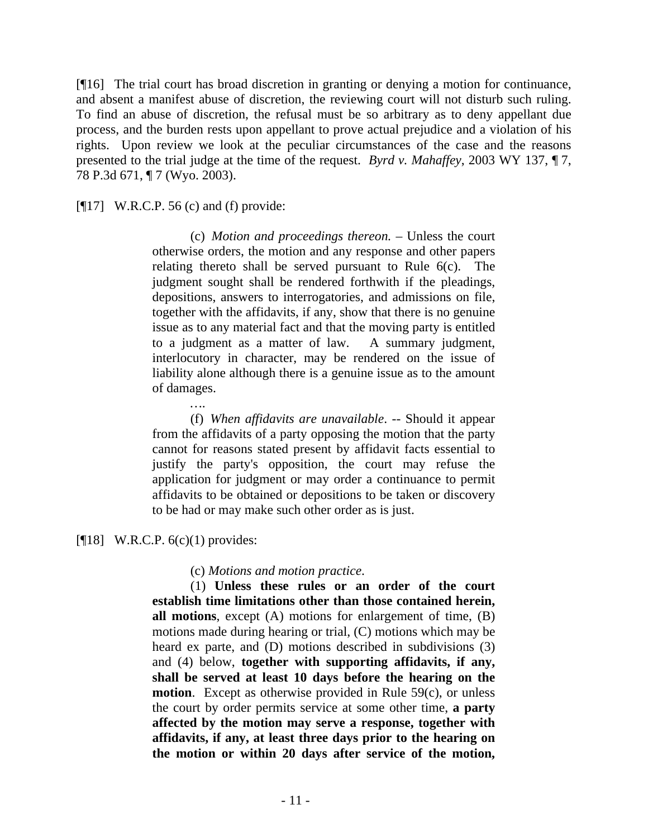[¶16] The trial court has broad discretion in granting or denying a motion for continuance, and absent a manifest abuse of discretion, the reviewing court will not disturb such ruling. To find an abuse of discretion, the refusal must be so arbitrary as to deny appellant due process, and the burden rests upon appellant to prove actual prejudice and a violation of his rights. Upon review we look at the peculiar circumstances of the case and the reasons presented to the trial judge at the time of the request. *Byrd v. Mahaffey*, 2003 WY 137, ¶ 7, 78 P.3d 671, ¶ 7 (Wyo. 2003).

[¶17] W.R.C.P. 56 (c) and (f) provide:

*…*.

(c) *Motion and proceedings thereon.* – Unless the court otherwise orders, the motion and any response and other papers relating thereto shall be served pursuant to Rule 6(c). The judgment sought shall be rendered forthwith if the pleadings, depositions, answers to interrogatories, and admissions on file, together with the affidavits, if any, show that there is no genuine issue as to any material fact and that the moving party is entitled to a judgment as a matter of law. A summary judgment, interlocutory in character, may be rendered on the issue of liability alone although there is a genuine issue as to the amount of damages.

 (f) *When affidavits are unavailable*. -- Should it appear from the affidavits of a party opposing the motion that the party cannot for reasons stated present by affidavit facts essential to justify the party's opposition, the court may refuse the application for judgment or may order a continuance to permit affidavits to be obtained or depositions to be taken or discovery to be had or may make such other order as is just.

[ $[18]$  W.R.C.P. 6(c)(1) provides:

(c) *Motions and motion practice*.

(1) **Unless these rules or an order of the court establish time limitations other than those contained herein, all motions**, except (A) motions for enlargement of time, (B) motions made during hearing or trial, (C) motions which may be heard ex parte, and (D) motions described in subdivisions (3) and (4) below, **together with supporting affidavits, if any, shall be served at least 10 days before the hearing on the motion**. Except as otherwise provided in Rule 59(c), or unless the court by order permits service at some other time, **a party affected by the motion may serve a response, together with affidavits, if any, at least three days prior to the hearing on the motion or within 20 days after service of the motion,**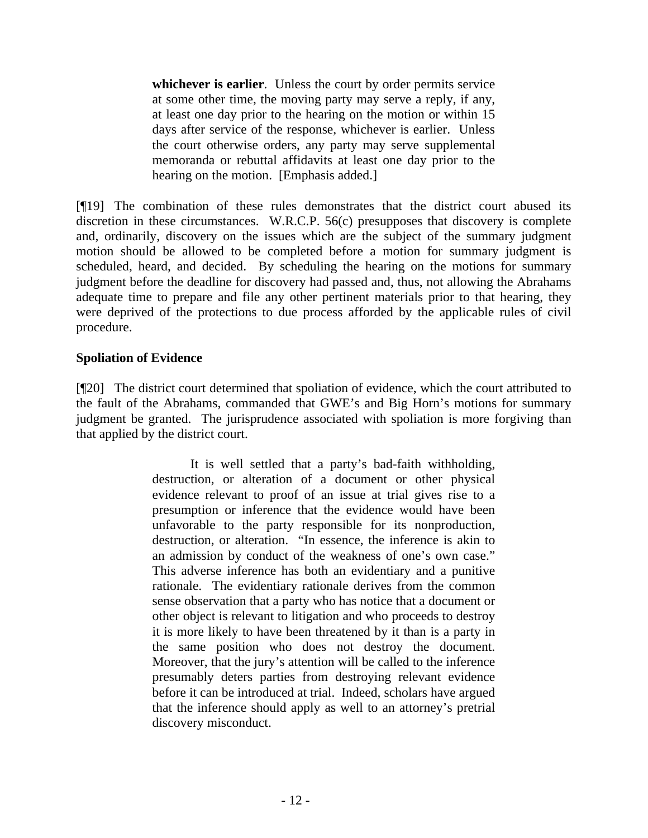**whichever is earlier**. Unless the court by order permits service at some other time, the moving party may serve a reply, if any, at least one day prior to the hearing on the motion or within 15 days after service of the response, whichever is earlier. Unless the court otherwise orders, any party may serve supplemental memoranda or rebuttal affidavits at least one day prior to the hearing on the motion. [Emphasis added.]

[¶19] The combination of these rules demonstrates that the district court abused its discretion in these circumstances. W.R.C.P. 56(c) presupposes that discovery is complete and, ordinarily, discovery on the issues which are the subject of the summary judgment motion should be allowed to be completed before a motion for summary judgment is scheduled, heard, and decided. By scheduling the hearing on the motions for summary judgment before the deadline for discovery had passed and, thus, not allowing the Abrahams adequate time to prepare and file any other pertinent materials prior to that hearing, they were deprived of the protections to due process afforded by the applicable rules of civil procedure.

# **Spoliation of Evidence**

[¶20] The district court determined that spoliation of evidence, which the court attributed to the fault of the Abrahams, commanded that GWE's and Big Horn's motions for summary judgment be granted. The jurisprudence associated with spoliation is more forgiving than that applied by the district court.

> It is well settled that a party's bad-faith withholding, destruction, or alteration of a document or other physical evidence relevant to proof of an issue at trial gives rise to a presumption or inference that the evidence would have been unfavorable to the party responsible for its nonproduction, destruction, or alteration. "In essence, the inference is akin to an admission by conduct of the weakness of one's own case." This adverse inference has both an evidentiary and a punitive rationale. The evidentiary rationale derives from the common sense observation that a party who has notice that a document or other object is relevant to litigation and who proceeds to destroy it is more likely to have been threatened by it than is a party in the same position who does not destroy the document. Moreover, that the jury's attention will be called to the inference presumably deters parties from destroying relevant evidence before it can be introduced at trial. Indeed, scholars have argued that the inference should apply as well to an attorney's pretrial discovery misconduct.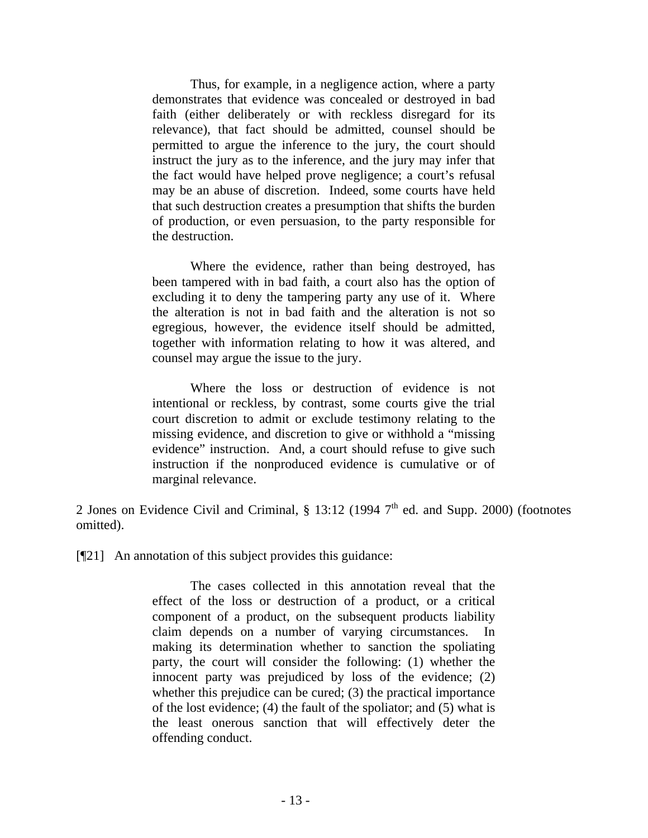Thus, for example, in a negligence action, where a party demonstrates that evidence was concealed or destroyed in bad faith (either deliberately or with reckless disregard for its relevance), that fact should be admitted, counsel should be permitted to argue the inference to the jury, the court should instruct the jury as to the inference, and the jury may infer that the fact would have helped prove negligence; a court's refusal may be an abuse of discretion. Indeed, some courts have held that such destruction creates a presumption that shifts the burden of production, or even persuasion, to the party responsible for the destruction.

Where the evidence, rather than being destroyed, has been tampered with in bad faith, a court also has the option of excluding it to deny the tampering party any use of it. Where the alteration is not in bad faith and the alteration is not so egregious, however, the evidence itself should be admitted, together with information relating to how it was altered, and counsel may argue the issue to the jury.

Where the loss or destruction of evidence is not intentional or reckless, by contrast, some courts give the trial court discretion to admit or exclude testimony relating to the missing evidence, and discretion to give or withhold a "missing evidence" instruction. And, a court should refuse to give such instruction if the nonproduced evidence is cumulative or of marginal relevance.

2 Jones on Evidence Civil and Criminal,  $\S$  13:12 (1994  $7<sup>th</sup>$  ed. and Supp. 2000) (footnotes omitted).

[¶21] An annotation of this subject provides this guidance:

The cases collected in this annotation reveal that the effect of the loss or destruction of a product, or a critical component of a product, on the subsequent products liability claim depends on a number of varying circumstances. making its determination whether to sanction the spoliating party, the court will consider the following: (1) whether the innocent party was prejudiced by loss of the evidence; (2) whether this prejudice can be cured; (3) the practical importance of the lost evidence; (4) the fault of the spoliator; and (5) what is the least onerous sanction that will effectively deter the offending conduct.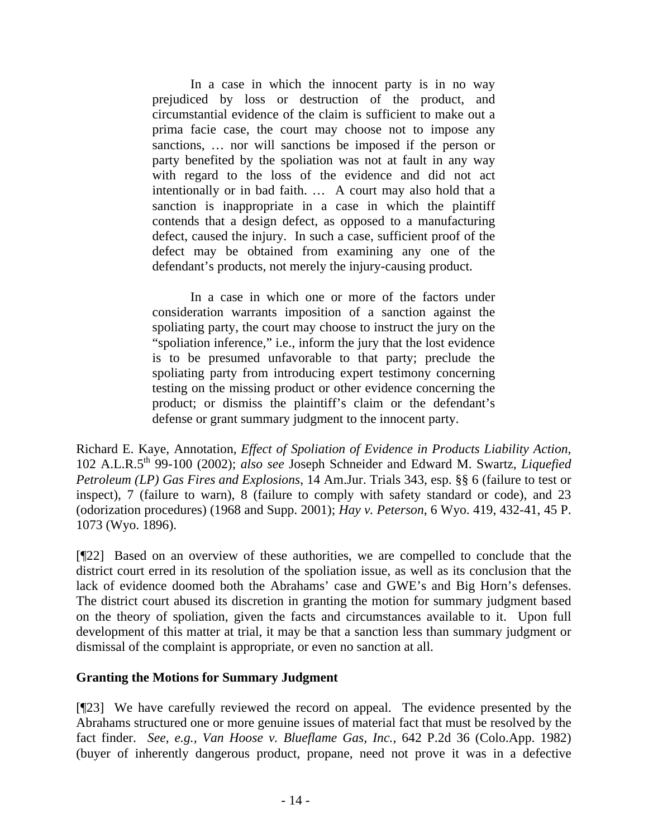In a case in which the innocent party is in no way prejudiced by loss or destruction of the product, and circumstantial evidence of the claim is sufficient to make out a prima facie case, the court may choose not to impose any sanctions, … nor will sanctions be imposed if the person or party benefited by the spoliation was not at fault in any way with regard to the loss of the evidence and did not act intentionally or in bad faith. … A court may also hold that a sanction is inappropriate in a case in which the plaintiff contends that a design defect, as opposed to a manufacturing defect, caused the injury. In such a case, sufficient proof of the defect may be obtained from examining any one of the defendant's products, not merely the injury-causing product.

In a case in which one or more of the factors under consideration warrants imposition of a sanction against the spoliating party, the court may choose to instruct the jury on the "spoliation inference," i.e., inform the jury that the lost evidence is to be presumed unfavorable to that party; preclude the spoliating party from introducing expert testimony concerning testing on the missing product or other evidence concerning the product; or dismiss the plaintiff's claim or the defendant's defense or grant summary judgment to the innocent party.

Richard E. Kaye, Annotation, *Effect of Spoliation of Evidence in Products Liability Action*, 102 A.L.R.5th 99-100 (2002); *also see* Joseph Schneider and Edward M. Swartz, *Liquefied Petroleum (LP) Gas Fires and Explosions*, 14 Am.Jur. Trials 343, esp. §§ 6 (failure to test or inspect), 7 (failure to warn), 8 (failure to comply with safety standard or code), and 23 (odorization procedures) (1968 and Supp. 2001); *Hay v. Peterson*, 6 Wyo. 419, 432-41, 45 P. 1073 (Wyo. 1896).

[¶22] Based on an overview of these authorities, we are compelled to conclude that the district court erred in its resolution of the spoliation issue, as well as its conclusion that the lack of evidence doomed both the Abrahams' case and GWE's and Big Horn's defenses. The district court abused its discretion in granting the motion for summary judgment based on the theory of spoliation, given the facts and circumstances available to it. Upon full development of this matter at trial, it may be that a sanction less than summary judgment or dismissal of the complaint is appropriate, or even no sanction at all.

# **Granting the Motions for Summary Judgment**

[¶23] We have carefully reviewed the record on appeal. The evidence presented by the Abrahams structured one or more genuine issues of material fact that must be resolved by the fact finder. *See, e.g., Van Hoose v. Blueflame Gas, Inc.*, 642 P.2d 36 (Colo.App. 1982) (buyer of inherently dangerous product, propane, need not prove it was in a defective